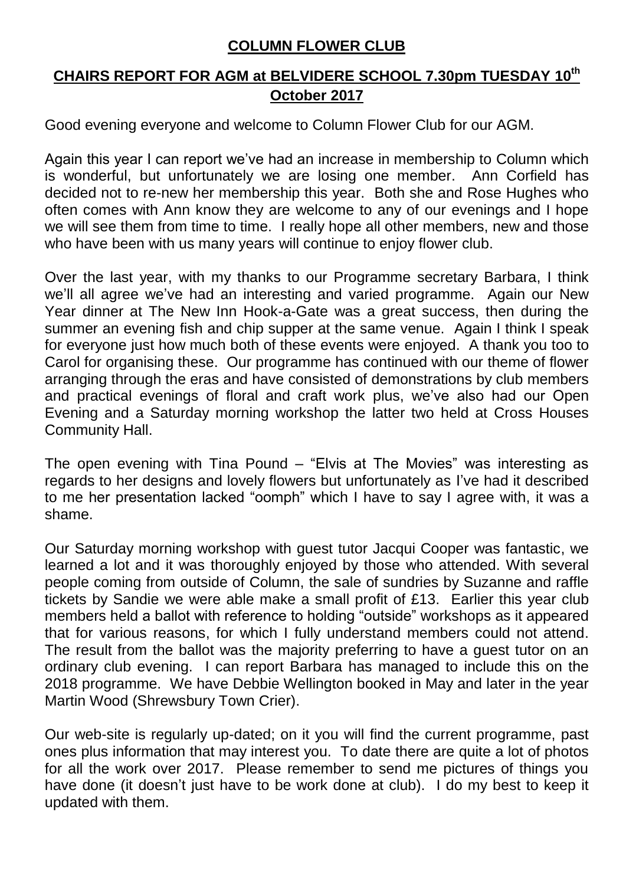## **COLUMN FLOWER CLUB**

## **CHAIRS REPORT FOR AGM at BELVIDERE SCHOOL 7.30pm TUESDAY 10th October 2017**

Good evening everyone and welcome to Column Flower Club for our AGM.

Again this year I can report we've had an increase in membership to Column which is wonderful, but unfortunately we are losing one member. Ann Corfield has decided not to re-new her membership this year. Both she and Rose Hughes who often comes with Ann know they are welcome to any of our evenings and I hope we will see them from time to time. I really hope all other members, new and those who have been with us many years will continue to enjoy flower club.

Over the last year, with my thanks to our Programme secretary Barbara, I think we'll all agree we've had an interesting and varied programme. Again our New Year dinner at The New Inn Hook-a-Gate was a great success, then during the summer an evening fish and chip supper at the same venue. Again I think I speak for everyone just how much both of these events were enjoyed. A thank you too to Carol for organising these. Our programme has continued with our theme of flower arranging through the eras and have consisted of demonstrations by club members and practical evenings of floral and craft work plus, we've also had our Open Evening and a Saturday morning workshop the latter two held at Cross Houses Community Hall.

The open evening with Tina Pound – "Elvis at The Movies" was interesting as regards to her designs and lovely flowers but unfortunately as I've had it described to me her presentation lacked "oomph" which I have to say I agree with, it was a shame.

Our Saturday morning workshop with guest tutor Jacqui Cooper was fantastic, we learned a lot and it was thoroughly enjoyed by those who attended. With several people coming from outside of Column, the sale of sundries by Suzanne and raffle tickets by Sandie we were able make a small profit of £13. Earlier this year club members held a ballot with reference to holding "outside" workshops as it appeared that for various reasons, for which I fully understand members could not attend. The result from the ballot was the majority preferring to have a guest tutor on an ordinary club evening. I can report Barbara has managed to include this on the 2018 programme. We have Debbie Wellington booked in May and later in the year Martin Wood (Shrewsbury Town Crier).

Our web-site is regularly up-dated; on it you will find the current programme, past ones plus information that may interest you. To date there are quite a lot of photos for all the work over 2017. Please remember to send me pictures of things you have done (it doesn't just have to be work done at club). I do my best to keep it updated with them.